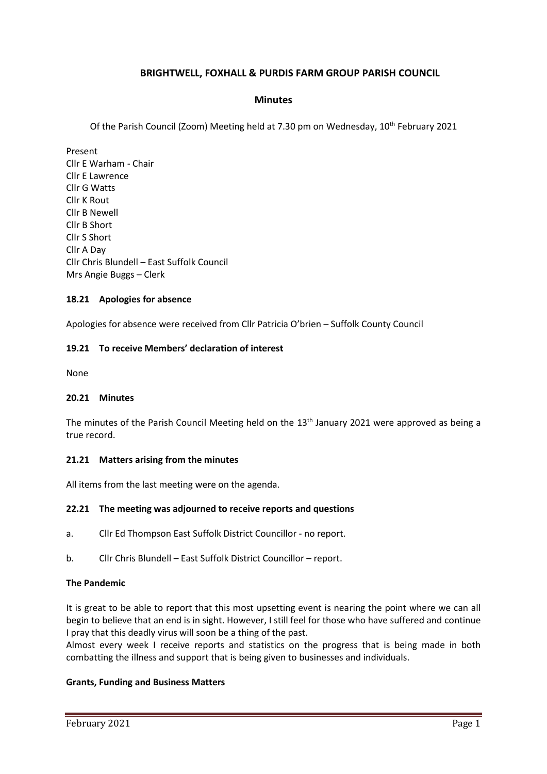## **BRIGHTWELL, FOXHALL & PURDIS FARM GROUP PARISH COUNCIL**

### **Minutes**

Of the Parish Council (Zoom) Meeting held at 7.30 pm on Wednesday, 10th February 2021

Present Cllr E Warham - Chair Cllr E Lawrence Cllr G Watts Cllr K Rout Cllr B Newell Cllr B Short Cllr S Short Cllr A Day Cllr Chris Blundell – East Suffolk Council Mrs Angie Buggs – Clerk

### **18.21 Apologies for absence**

Apologies for absence were received from Cllr Patricia O'brien – Suffolk County Council

### **19.21 To receive Members' declaration of interest**

None

### **20.21 Minutes**

The minutes of the Parish Council Meeting held on the 13<sup>th</sup> January 2021 were approved as being a true record.

## **21.21 Matters arising from the minutes**

All items from the last meeting were on the agenda.

### **22.21 The meeting was adjourned to receive reports and questions**

- a. Cllr Ed Thompson East Suffolk District Councillor no report.
- b. Cllr Chris Blundell East Suffolk District Councillor report.

#### **The Pandemic**

It is great to be able to report that this most upsetting event is nearing the point where we can all begin to believe that an end is in sight. However, I still feel for those who have suffered and continue I pray that this deadly virus will soon be a thing of the past.

Almost every week I receive reports and statistics on the progress that is being made in both combatting the illness and support that is being given to businesses and individuals.

### **Grants, Funding and Business Matters**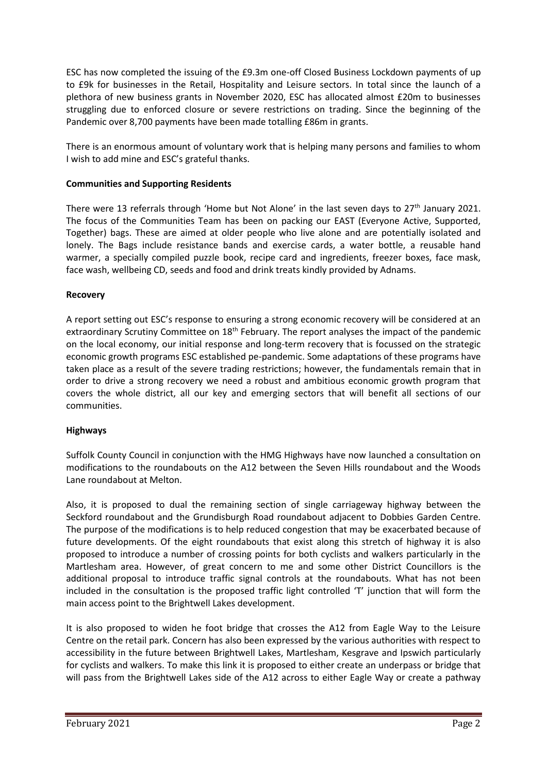ESC has now completed the issuing of the £9.3m one-off Closed Business Lockdown payments of up to £9k for businesses in the Retail, Hospitality and Leisure sectors. In total since the launch of a plethora of new business grants in November 2020, ESC has allocated almost £20m to businesses struggling due to enforced closure or severe restrictions on trading. Since the beginning of the Pandemic over 8,700 payments have been made totalling £86m in grants.

There is an enormous amount of voluntary work that is helping many persons and families to whom I wish to add mine and ESC's grateful thanks.

### **Communities and Supporting Residents**

There were 13 referrals through 'Home but Not Alone' in the last seven days to  $27<sup>th</sup>$  January 2021. The focus of the Communities Team has been on packing our EAST (Everyone Active, Supported, Together) bags. These are aimed at older people who live alone and are potentially isolated and lonely. The Bags include resistance bands and exercise cards, a water bottle, a reusable hand warmer, a specially compiled puzzle book, recipe card and ingredients, freezer boxes, face mask, face wash, wellbeing CD, seeds and food and drink treats kindly provided by Adnams.

### **Recovery**

A report setting out ESC's response to ensuring a strong economic recovery will be considered at an extraordinary Scrutiny Committee on 18<sup>th</sup> February. The report analyses the impact of the pandemic on the local economy, our initial response and long-term recovery that is focussed on the strategic economic growth programs ESC established pe-pandemic. Some adaptations of these programs have taken place as a result of the severe trading restrictions; however, the fundamentals remain that in order to drive a strong recovery we need a robust and ambitious economic growth program that covers the whole district, all our key and emerging sectors that will benefit all sections of our communities.

### **Highways**

Suffolk County Council in conjunction with the HMG Highways have now launched a consultation on modifications to the roundabouts on the A12 between the Seven Hills roundabout and the Woods Lane roundabout at Melton.

Also, it is proposed to dual the remaining section of single carriageway highway between the Seckford roundabout and the Grundisburgh Road roundabout adjacent to Dobbies Garden Centre. The purpose of the modifications is to help reduced congestion that may be exacerbated because of future developments. Of the eight roundabouts that exist along this stretch of highway it is also proposed to introduce a number of crossing points for both cyclists and walkers particularly in the Martlesham area. However, of great concern to me and some other District Councillors is the additional proposal to introduce traffic signal controls at the roundabouts. What has not been included in the consultation is the proposed traffic light controlled 'T' junction that will form the main access point to the Brightwell Lakes development.

It is also proposed to widen he foot bridge that crosses the A12 from Eagle Way to the Leisure Centre on the retail park. Concern has also been expressed by the various authorities with respect to accessibility in the future between Brightwell Lakes, Martlesham, Kesgrave and Ipswich particularly for cyclists and walkers. To make this link it is proposed to either create an underpass or bridge that will pass from the Brightwell Lakes side of the A12 across to either Eagle Way or create a pathway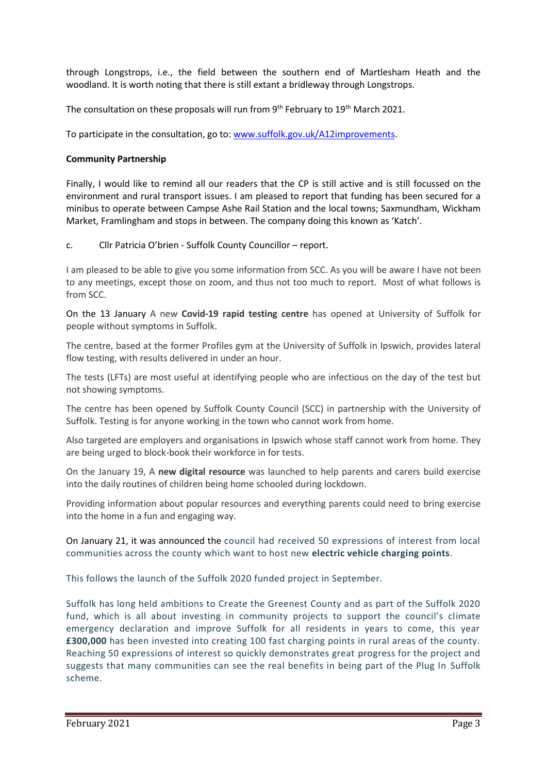through Longstrops, i.e., the field between the southern end of Martlesham Heath and the woodland. It is worth noting that there is still extant a bridleway through Longstrops.

The consultation on these proposals will run from  $9<sup>th</sup>$  February to  $19<sup>th</sup>$  March 2021.

To participate in the consultation, go to: [www.suffolk.gov.uk/A12improvements.](http://www.suffolk.gov.uk/A12improvements)

### **Community Partnership**

Finally, I would like to remind all our readers that the CP is still active and is still focussed on the environment and rural transport issues. I am pleased to report that funding has been secured for a minibus to operate between Campse Ashe Rail Station and the local towns; Saxmundham, Wickham Market, Framlingham and stops in between. The company doing this known as 'Katch'.

c. Cllr Patricia O'brien - Suffolk County Councillor – report.

I am pleased to be able to give you some information from SCC. As you will be aware I have not been to any meetings, except those on zoom, and thus not too much to report. Most of what follows is from SCC.

On the 13 January A new **Covid-19 rapid testing centre** has opened at University of Suffolk for people without symptoms in Suffolk.

The centre, based at the former Profiles gym at the University of Suffolk in Ipswich, provides lateral flow testing, with results delivered in under an hour.

The tests (LFTs) are most useful at identifying people who are infectious on the day of the test but not showing symptoms.

The centre has been opened by Suffolk County Council (SCC) in partnership with the University of Suffolk. Testing is for anyone working in the town who cannot work from home.

Also targeted are employers and organisations in Ipswich whose staff cannot work from home. They are being urged to block-book their workforce in for tests.

On the January 19, A **new digital resource** was launched to help parents and carers build exercise into the daily routines of children being home schooled during lockdown.

Providing information about popular resources and everything parents could need to bring exercise into the home in a fun and engaging way.

On January 21, it was announced the council had received 50 expressions of interest from local communities across the county which want to host new **electric vehicle charging points**.

This follows the launch of the Suffolk 2020 funded project in September.

Suffolk has long held ambitions to Create the Greenest County and as part of the Suffolk 2020 fund, which is all about investing in community projects to support the council's climate emergency declaration and improve Suffolk for all residents in years to come, this year **£300,000** has been invested into creating 100 fast charging points in rural areas of the county. Reaching 50 expressions of interest so quickly demonstrates great progress for the project and suggests that many communities can see the real benefits in being part of the Plug In Suffolk scheme.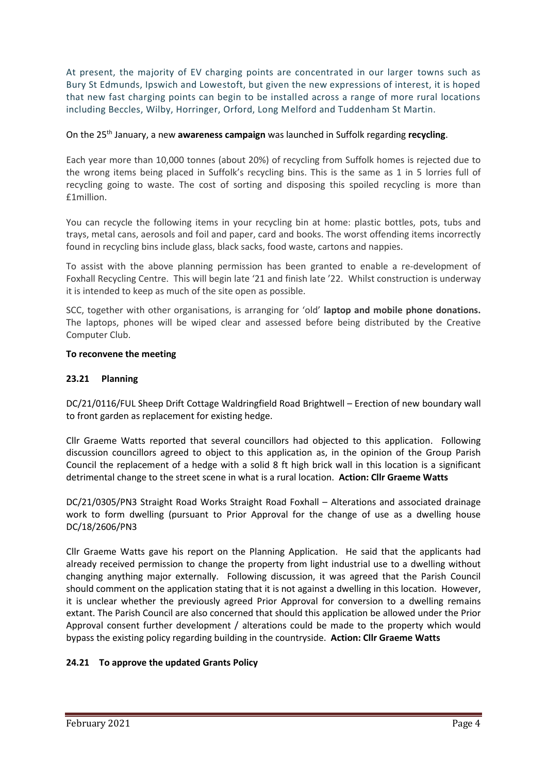At present, the majority of EV charging points are concentrated in our larger towns such as Bury St Edmunds, Ipswich and Lowestoft, but given the new expressions of interest, it is hoped that new fast charging points can begin to be installed across a range of more rural locations including Beccles, Wilby, Horringer, Orford, Long Melford and Tuddenham St Martin.

### On the 25th January, a new **awareness campaign** was launched in Suffolk regarding **recycling**.

Each year more than 10,000 tonnes (about 20%) of recycling from Suffolk homes is rejected due to the wrong items being placed in Suffolk's recycling bins. This is the same as 1 in 5 lorries full of recycling going to waste. The cost of sorting and disposing this spoiled recycling is more than £1million.

You can recycle the following items in your recycling bin at home: plastic bottles, pots, tubs and trays, metal cans, aerosols and foil and paper, card and books. The worst offending items incorrectly found in recycling bins include glass, black sacks, food waste, cartons and nappies.

To assist with the above planning permission has been granted to enable a re-development of Foxhall Recycling Centre. This will begin late '21 and finish late '22. Whilst construction is underway it is intended to keep as much of the site open as possible.

SCC, together with other organisations, is arranging for 'old' **laptop and mobile phone donations.** The laptops, phones will be wiped clear and assessed before being distributed by the Creative Computer Club.

### **To reconvene the meeting**

### **23.21 Planning**

DC/21/0116/FUL Sheep Drift Cottage Waldringfield Road Brightwell – Erection of new boundary wall to front garden as replacement for existing hedge.

Cllr Graeme Watts reported that several councillors had objected to this application. Following discussion councillors agreed to object to this application as, in the opinion of the Group Parish Council the replacement of a hedge with a solid 8 ft high brick wall in this location is a significant detrimental change to the street scene in what is a rural location. **Action: Cllr Graeme Watts**

DC/21/0305/PN3 Straight Road Works Straight Road Foxhall – Alterations and associated drainage work to form dwelling (pursuant to Prior Approval for the change of use as a dwelling house DC/18/2606/PN3

Cllr Graeme Watts gave his report on the Planning Application. He said that the applicants had already received permission to change the property from light industrial use to a dwelling without changing anything major externally. Following discussion, it was agreed that the Parish Council should comment on the application stating that it is not against a dwelling in this location. However, it is unclear whether the previously agreed Prior Approval for conversion to a dwelling remains extant. The Parish Council are also concerned that should this application be allowed under the Prior Approval consent further development / alterations could be made to the property which would bypass the existing policy regarding building in the countryside. **Action: Cllr Graeme Watts**

## **24.21 To approve the updated Grants Policy**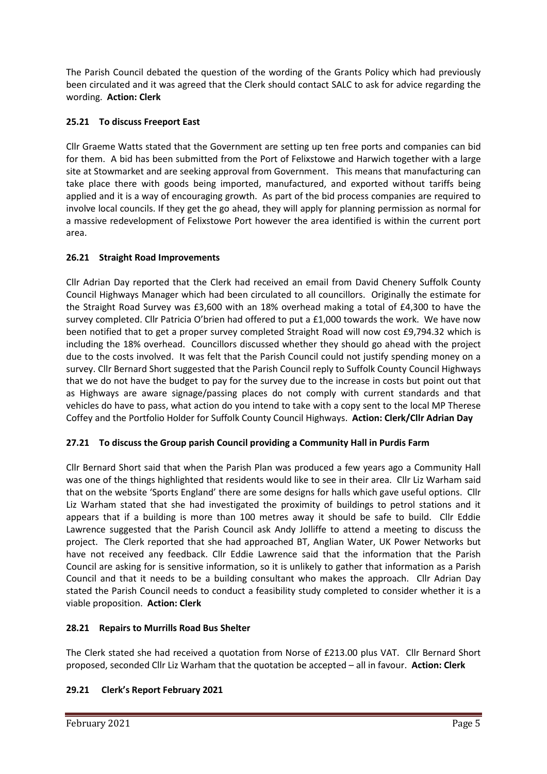The Parish Council debated the question of the wording of the Grants Policy which had previously been circulated and it was agreed that the Clerk should contact SALC to ask for advice regarding the wording. **Action: Clerk**

# **25.21 To discuss Freeport East**

Cllr Graeme Watts stated that the Government are setting up ten free ports and companies can bid for them. A bid has been submitted from the Port of Felixstowe and Harwich together with a large site at Stowmarket and are seeking approval from Government. This means that manufacturing can take place there with goods being imported, manufactured, and exported without tariffs being applied and it is a way of encouraging growth. As part of the bid process companies are required to involve local councils. If they get the go ahead, they will apply for planning permission as normal for a massive redevelopment of Felixstowe Port however the area identified is within the current port area.

# **26.21 Straight Road Improvements**

Cllr Adrian Day reported that the Clerk had received an email from David Chenery Suffolk County Council Highways Manager which had been circulated to all councillors. Originally the estimate for the Straight Road Survey was £3,600 with an 18% overhead making a total of £4,300 to have the survey completed. Cllr Patricia O'brien had offered to put a £1,000 towards the work. We have now been notified that to get a proper survey completed Straight Road will now cost £9,794.32 which is including the 18% overhead. Councillors discussed whether they should go ahead with the project due to the costs involved. It was felt that the Parish Council could not justify spending money on a survey. Cllr Bernard Short suggested that the Parish Council reply to Suffolk County Council Highways that we do not have the budget to pay for the survey due to the increase in costs but point out that as Highways are aware signage/passing places do not comply with current standards and that vehicles do have to pass, what action do you intend to take with a copy sent to the local MP Therese Coffey and the Portfolio Holder for Suffolk County Council Highways. **Action: Clerk/Cllr Adrian Day**

# **27.21 To discuss the Group parish Council providing a Community Hall in Purdis Farm**

Cllr Bernard Short said that when the Parish Plan was produced a few years ago a Community Hall was one of the things highlighted that residents would like to see in their area. Cllr Liz Warham said that on the website 'Sports England' there are some designs for halls which gave useful options. Cllr Liz Warham stated that she had investigated the proximity of buildings to petrol stations and it appears that if a building is more than 100 metres away it should be safe to build. Cllr Eddie Lawrence suggested that the Parish Council ask Andy Jolliffe to attend a meeting to discuss the project. The Clerk reported that she had approached BT, Anglian Water, UK Power Networks but have not received any feedback. Cllr Eddie Lawrence said that the information that the Parish Council are asking for is sensitive information, so it is unlikely to gather that information as a Parish Council and that it needs to be a building consultant who makes the approach. Cllr Adrian Day stated the Parish Council needs to conduct a feasibility study completed to consider whether it is a viable proposition. **Action: Clerk**

# **28.21 Repairs to Murrills Road Bus Shelter**

The Clerk stated she had received a quotation from Norse of £213.00 plus VAT. Cllr Bernard Short proposed, seconded Cllr Liz Warham that the quotation be accepted – all in favour. **Action: Clerk**

# **29.21 Clerk's Report February 2021**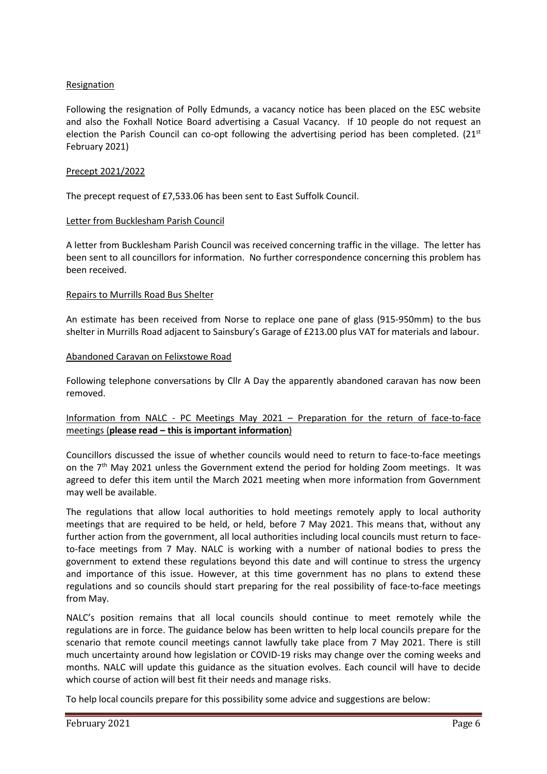### **Resignation**

Following the resignation of Polly Edmunds, a vacancy notice has been placed on the ESC website and also the Foxhall Notice Board advertising a Casual Vacancy. If 10 people do not request an election the Parish Council can co-opt following the advertising period has been completed.  $(21^{st}$ February 2021)

### Precept 2021/2022

The precept request of £7,533.06 has been sent to East Suffolk Council.

### Letter from Bucklesham Parish Council

A letter from Bucklesham Parish Council was received concerning traffic in the village. The letter has been sent to all councillors for information. No further correspondence concerning this problem has been received.

### Repairs to Murrills Road Bus Shelter

An estimate has been received from Norse to replace one pane of glass (915-950mm) to the bus shelter in Murrills Road adjacent to Sainsbury's Garage of £213.00 plus VAT for materials and labour.

### Abandoned Caravan on Felixstowe Road

Following telephone conversations by Cllr A Day the apparently abandoned caravan has now been removed.

### Information from NALC - PC Meetings May 2021 – Preparation for the return of face-to-face meetings (**please read – this is important information**)

Councillors discussed the issue of whether councils would need to return to face-to-face meetings on the 7<sup>th</sup> May 2021 unless the Government extend the period for holding Zoom meetings. It was agreed to defer this item until the March 2021 meeting when more information from Government may well be available.

The regulations that allow local authorities to hold meetings remotely apply to local authority meetings that are required to be held, or held, before 7 May 2021. This means that, without any further action from the government, all local authorities including local councils must return to faceto-face meetings from 7 May. NALC is working with a number of national bodies to press the government to extend these regulations beyond this date and will continue to stress the urgency and importance of this issue. However, at this time government has no plans to extend these regulations and so councils should start preparing for the real possibility of face-to-face meetings from May.

NALC's position remains that all local councils should continue to meet remotely while the regulations are in force. The guidance below has been written to help local councils prepare for the scenario that remote council meetings cannot lawfully take place from 7 May 2021. There is still much uncertainty around how legislation or COVID-19 risks may change over the coming weeks and months. NALC will update this guidance as the situation evolves. Each council will have to decide which course of action will best fit their needs and manage risks.

To help local councils prepare for this possibility some advice and suggestions are below: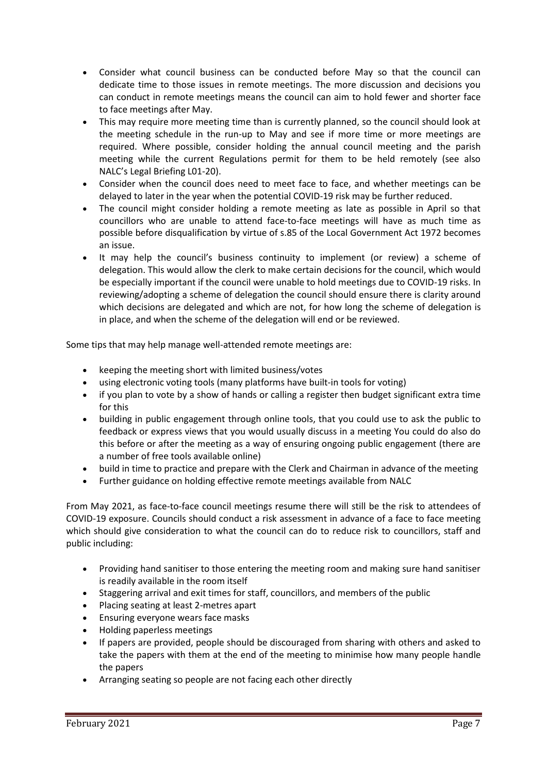- Consider what council business can be conducted before May so that the council can dedicate time to those issues in remote meetings. The more discussion and decisions you can conduct in remote meetings means the council can aim to hold fewer and shorter face to face meetings after May.
- This may require more meeting time than is currently planned, so the council should look at the meeting schedule in the run-up to May and see if more time or more meetings are required. Where possible, consider holding the annual council meeting and the parish meeting while the current Regulations permit for them to be held remotely (see also NALC's [Legal Briefing L01-20\)](https://www.nalc.gov.uk/library/news-stories/covid19/3234-l01-20-the-local-authorities-and-police-and-crime-panels-coronavirus-flexibility-of-local-authority-and-police-and-crime-panel-meetings-england-and-wales-regulations-2020/file).
- Consider when the council does need to meet face to face, and whether meetings can be delayed to later in the year when the potential COVID-19 risk may be further reduced.
- The council might consider holding a remote meeting as late as possible in April so that councillors who are unable to attend face-to-face meetings will have as much time as possible before disqualification by virtue of s.85 of the Local Government Act 1972 becomes an issue.
- It may help the council's business continuity to implement (or review) a scheme of delegation. This would allow the clerk to make certain decisions for the council, which would be especially important if the council were unable to hold meetings due to COVID-19 risks. In reviewing/adopting a scheme of delegation the council should ensure there is clarity around which decisions are delegated and which are not, for how long the scheme of delegation is in place, and when the scheme of the delegation will end or be reviewed.

Some tips that may help manage well-attended remote meetings are:

- keeping the meeting short with limited business/votes
- using electronic voting tools (many platforms have built-in tools for voting)
- if you plan to vote by a show of hands or calling a register then budget significant extra time for this
- building in public engagement through online tools, that you could use to ask the public to feedback or express views that you would usually discuss in a meeting You could do also do this before or after the meeting as a way of ensuring ongoing public engagement (there are a number of free tools available online)
- build in time to practice and prepare with the Clerk and Chairman in advance of the meeting
- Further guidance on [holding effective remote meetings](https://www.nalc.gov.uk/library/news-stories/covid19/3232-nalc-holding-remote-meetings/file) available from NALC

From May 2021, as face-to-face council meetings resume there will still be the risk to attendees of COVID-19 exposure. Councils should conduct a risk assessment in advance of a face to face meeting which should give consideration to what the council can do to reduce risk to councillors, staff and public including:

- Providing hand sanitiser to those entering the meeting room and making sure hand sanitiser is readily available in the room itself
- Staggering arrival and exit times for staff, councillors, and members of the public
- Placing seating at least 2-metres apart
- Ensuring everyone wears face masks
- Holding paperless meetings
- If papers are provided, people should be discouraged from sharing with others and asked to take the papers with them at the end of the meeting to minimise how many people handle the papers
- Arranging seating so people are not facing each other directly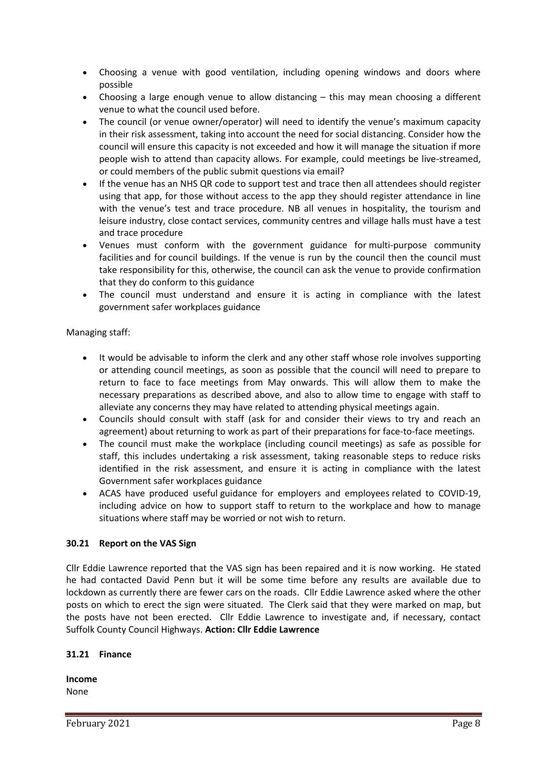- Choosing a venue with good ventilation, including opening windows and doors where possible
- Choosing a large enough venue to allow distancing this may mean choosing a different venue to what the council used before.
- The council (or venue owner/operator) will need to identify the venue's maximum capacity in their risk assessment, taking into account the need for social distancing. Consider how the council will ensure this capacity is not exceeded and how it will manage the situation if more people wish to attend than capacity allows. For example, could meetings be live-streamed, or could members of the public submit questions via email?
- If the venue has an NHS QR code to support test and trace then all attendees should register using that app, for those without access to the app they should register attendance in line with the venue's test and trace procedure. NB all venues in hospitality, the tourism and leisure industry, close contact services, community centres and village halls must have a [test](https://www.gov.uk/guidance/maintaining-records-of-staff-customers-and-visitors-to-support-nhs-test-and-trace)  [and trace procedure](https://www.gov.uk/guidance/maintaining-records-of-staff-customers-and-visitors-to-support-nhs-test-and-trace)
- Venues must conform with the government guidance for [multi-purpose community](https://www.gov.uk/government/publications/covid-19-guidance-for-the-safe-use-of-multi-purpose-community-facilities/covid-19-guidance-for-the-safe-use-of-multi-purpose-community-facilities)  [facilities](https://www.gov.uk/government/publications/covid-19-guidance-for-the-safe-use-of-multi-purpose-community-facilities/covid-19-guidance-for-the-safe-use-of-multi-purpose-community-facilities) and for [council buildings.](https://www.gov.uk/government/publications/covid-19-guidance-for-the-safe-use-of-council-buildings/covid-19-guidance-for-the-safe-use-of-council-buildings) If the venue is run by the council then the council must take responsibility for this, otherwise, the council can ask the venue to provide confirmation that they do conform to this guidance
- The council must understand and ensure it is acting in compliance with the latest government [safer workplaces guidance](https://www.gov.uk/guidance/working-safely-during-coronavirus-covid-19/providers-of-grassroots-sport-and-gym-leisure-facilities)

Managing staff:

- It would be advisable to inform the clerk and any other staff whose role involves supporting or attending council meetings, as soon as possible that the council will need to prepare to return to face to face meetings from May onwards. This will allow them to make the necessary preparations as described above, and also to allow time to engage with staff to alleviate any concerns they may have related to attending physical meetings again.
- Councils should consult with staff (ask for and consider their views to try and reach an agreement) about returning to work as part of their preparations for face-to-face meetings.
- The council must make the workplace (including council meetings) as safe as possible for staff, this includes undertaking a risk assessment, taking reasonable steps to reduce risks identified in the risk assessment, and ensure it is acting in compliance with the latest Government [safer workplaces](https://www.gov.uk/guidance/working-safely-during-coronavirus-covid-19/providers-of-grassroots-sport-and-gym-leisure-facilities) guidance
- ACAS have produced useful [guidance for employers and employees](https://www.acas.org.uk/coronavirus) related to COVID-19, including advice on how to support staff to [return to the workplace](https://www.acas.org.uk/working-safely-coronavirus/returning-to-the-workplace) and how to manage situations where staff may be worried or not wish to return.

## **30.21 Report on the VAS Sign**

Cllr Eddie Lawrence reported that the VAS sign has been repaired and it is now working. He stated he had contacted David Penn but it will be some time before any results are available due to lockdown as currently there are fewer cars on the roads. Cllr Eddie Lawrence asked where the other posts on which to erect the sign were situated. The Clerk said that they were marked on map, but the posts have not been erected. Cllr Eddie Lawrence to investigate and, if necessary, contact Suffolk County Council Highways. **Action: Cllr Eddie Lawrence**

## **31.21 Finance**

**Income** None